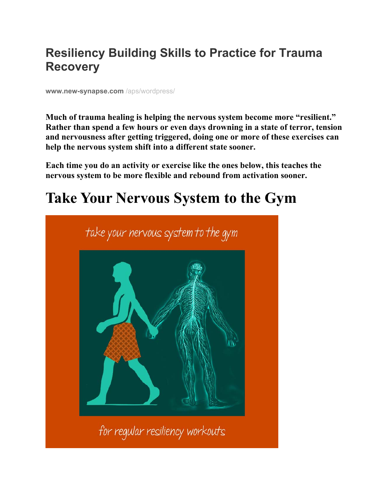## **Resiliency Building Skills to Practice for Trauma Recovery**

**www.new-synapse.com** /aps/wordpress/

**Much of trauma healing is helping the nervous system become more "resilient." Rather than spend a few hours or even days drowning in a state of terror, tension and nervousness after getting triggered, doing one or more of these exercises can help the nervous system shift into a different state sooner.** 

**Each time you do an activity or exercise like the ones below, this teaches the nervous system to be more flexible and rebound from activation sooner.** 

# **Take Your Nervous System to the Gym**

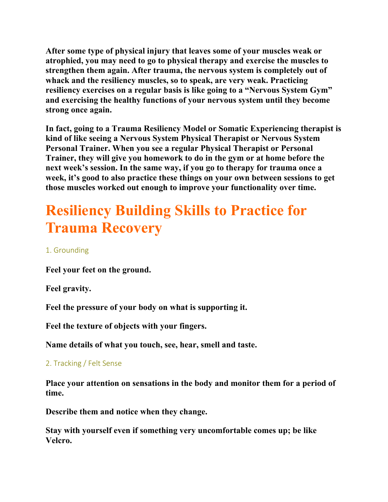**After some type of physical injury that leaves some of your muscles weak or atrophied, you may need to go to physical therapy and exercise the muscles to strengthen them again. After trauma, the nervous system is completely out of whack and the resiliency muscles, so to speak, are very weak. Practicing resiliency exercises on a regular basis is like going to a "Nervous System Gym" and exercising the healthy functions of your nervous system until they become strong once again.** 

**In fact, going to a Trauma Resiliency Model or Somatic Experiencing therapist is kind of like seeing a Nervous System Physical Therapist or Nervous System Personal Trainer. When you see a regular Physical Therapist or Personal Trainer, they will give you homework to do in the gym or at home before the next week's session. In the same way, if you go to therapy for trauma once a week, it's good to also practice these things on your own between sessions to get those muscles worked out enough to improve your functionality over time.** 

# **Resiliency Building Skills to Practice for Trauma Recovery**

### 1. Grounding

**Feel your feet on the ground.** 

**Feel gravity.** 

**Feel the pressure of your body on what is supporting it.** 

**Feel the texture of objects with your fingers.** 

**Name details of what you touch, see, hear, smell and taste.** 

#### 2. Tracking / Felt Sense

**Place your attention on sensations in the body and monitor them for a period of time.** 

**Describe them and notice when they change.** 

**Stay with yourself even if something very uncomfortable comes up; be like Velcro.**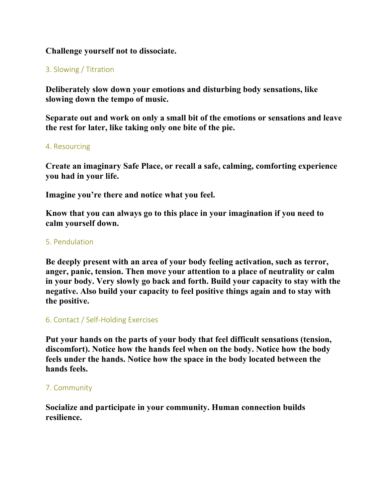#### **Challenge yourself not to dissociate.**

#### 3. Slowing / Titration

**Deliberately slow down your emotions and disturbing body sensations, like slowing down the tempo of music.** 

**Separate out and work on only a small bit of the emotions or sensations and leave the rest for later, like taking only one bite of the pie.** 

#### 4. Resourcing

**Create an imaginary Safe Place, or recall a safe, calming, comforting experience you had in your life.** 

**Imagine you're there and notice what you feel.** 

**Know that you can always go to this place in your imagination if you need to calm yourself down.** 

#### 5. Pendulation

**Be deeply present with an area of your body feeling activation, such as terror, anger, panic, tension. Then move your attention to a place of neutrality or calm in your body. Very slowly go back and forth. Build your capacity to stay with the negative. Also build your capacity to feel positive things again and to stay with the positive.** 

#### 6. Contact / Self‐Holding Exercises

**Put your hands on the parts of your body that feel difficult sensations (tension, discomfort). Notice how the hands feel when on the body. Notice how the body feels under the hands. Notice how the space in the body located between the hands feels.** 

#### 7. Community

**Socialize and participate in your community. Human connection builds resilience.**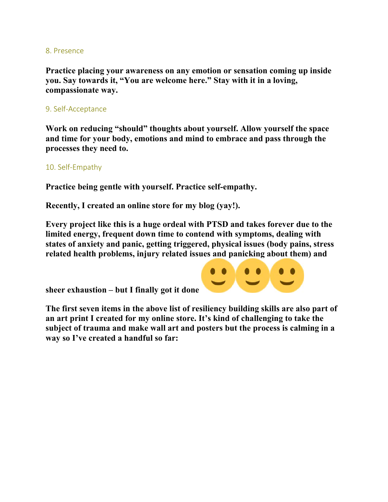#### 8. Presence

**Practice placing your awareness on any emotion or sensation coming up inside you. Say towards it, "You are welcome here." Stay with it in a loving, compassionate way.** 

#### 9. Self‐Acceptance

**Work on reducing "should" thoughts about yourself. Allow yourself the space and time for your body, emotions and mind to embrace and pass through the processes they need to.** 

#### 10. Self‐Empathy

**Practice being gentle with yourself. Practice self-empathy.** 

**Recently, I created an online store for my blog (yay!).** 

**Every project like this is a huge ordeal with PTSD and takes forever due to the limited energy, frequent down time to contend with symptoms, dealing with states of anxiety and panic, getting triggered, physical issues (body pains, stress related health problems, injury related issues and panicking about them) and** 

**sheer exhaustion – but I finally got it done** 



**The first seven items in the above list of resiliency building skills are also part of an art print I created for my online store. It's kind of challenging to take the subject of trauma and make wall art and posters but the process is calming in a way so I've created a handful so far:**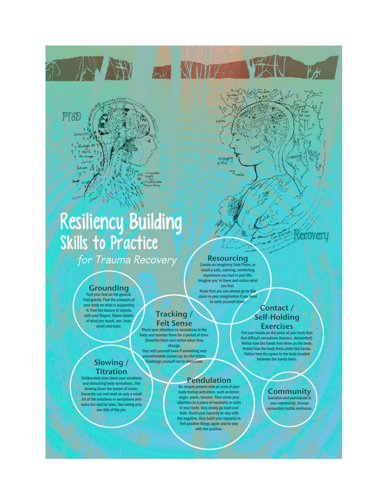

# **Resiliency Building Skills to Practice**

for Trauma Recovery

#### **Grounding**

Feel your feet on the ground. Feel gravity. Feel the pressure of your body on what is supporting it. Feel the texture of objects with your fingers. Name details of what you touch, see, hear, smell and taste.

#### body and monitor them for a period of time. Describe them and notice when they change Stay with yourself even if something very

comfortable comes up; be like Velcro Slowing/ Challenge yourself not to dissociate. **Titration** 

Deliberately slow down your emotions and disturbing body sensations, like slowing down the tempo of music. Separate out and work on only a small bit of the emotions or sensations and leave the rest for later, like taking only one bite of the pie.

#### **Resourcing**

engag<br>O<sup>466</sup>

ىم. VEACE

**YNYTE** 

**ANTI** 

experience you had in your life. Imagine you're there and notice what

#### Contact / **Self-Holding Exercises**

Put your hands on the parts of your body that feel difficult sensations (tension, discomfort). Notice how the hands feel when on the body. Notice how the body feels under the hands. Notice how the space in the body located between the hands feels.

#### **Community**

Socialize and participate in your community. Human connection builds resilience

Recovery

Tracking

**Felt Sense** 

Place your attention on sensations in the

**Create an imaginary Safe Place, or<br>recall a safe, calming, comforting** you feel.

**Pendulation** 

Be deeply present with an area of your

body feeling activation, such as terror,

anger, panic, tension. Then move your

attention to a place of neutrality or calm

in your body. Very slowly go back and

forth. Build your capacity to stay with the negative. Also build your capacity to feel positive things again and to stay with the positive.

Know that you can always go to this place in your imagination if you need to calm yourself down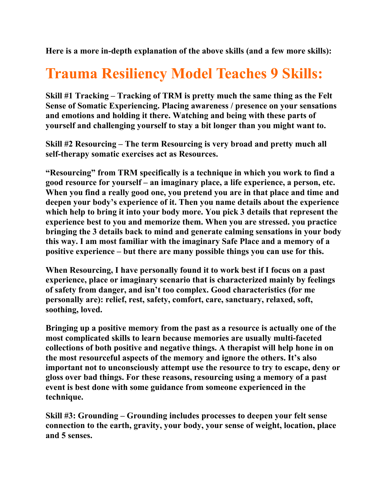**Here is a more in-depth explanation of the above skills (and a few more skills):** 

# **Trauma Resiliency Model Teaches 9 Skills:**

**Skill #1 Tracking – Tracking of TRM is pretty much the same thing as the Felt Sense of Somatic Experiencing. Placing awareness / presence on your sensations and emotions and holding it there. Watching and being with these parts of yourself and challenging yourself to stay a bit longer than you might want to.** 

**Skill #2 Resourcing – The term Resourcing is very broad and pretty much all self-therapy somatic exercises act as Resources.** 

**"Resourcing" from TRM specifically is a technique in which you work to find a good resource for yourself – an imaginary place, a life experience, a person, etc. When you find a really good one, you pretend you are in that place and time and deepen your body's experience of it. Then you name details about the experience which help to bring it into your body more. You pick 3 details that represent the experience best to you and memorize them. When you are stressed. you practice bringing the 3 details back to mind and generate calming sensations in your body this way. I am most familiar with the imaginary Safe Place and a memory of a positive experience – but there are many possible things you can use for this.** 

**When Resourcing, I have personally found it to work best if I focus on a past experience, place or imaginary scenario that is characterized mainly by feelings of safety from danger, and isn't too complex. Good characteristics (for me personally are): relief, rest, safety, comfort, care, sanctuary, relaxed, soft, soothing, loved.** 

**Bringing up a positive memory from the past as a resource is actually one of the most complicated skills to learn because memories are usually multi-faceted collections of both positive and negative things. A therapist will help hone in on the most resourceful aspects of the memory and ignore the others. It's also important not to unconsciously attempt use the resource to try to escape, deny or gloss over bad things. For these reasons, resourcing using a memory of a past event is best done with some guidance from someone experienced in the technique.** 

**Skill #3: Grounding – Grounding includes processes to deepen your felt sense connection to the earth, gravity, your body, your sense of weight, location, place and 5 senses.**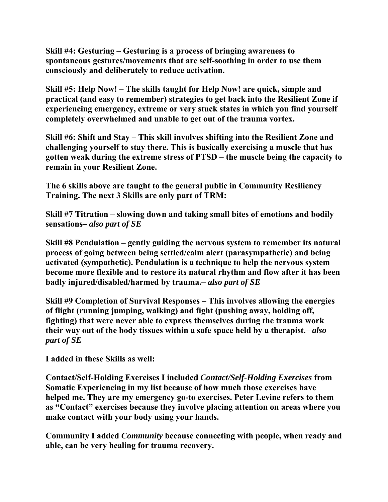**Skill #4: Gesturing – Gesturing is a process of bringing awareness to spontaneous gestures/movements that are self-soothing in order to use them consciously and deliberately to reduce activation.** 

**Skill #5: Help Now! – The skills taught for Help Now! are quick, simple and practical (and easy to remember) strategies to get back into the Resilient Zone if experiencing emergency, extreme or very stuck states in which you find yourself completely overwhelmed and unable to get out of the trauma vortex.** 

**Skill #6: Shift and Stay – This skill involves shifting into the Resilient Zone and challenging yourself to stay there. This is basically exercising a muscle that has gotten weak during the extreme stress of PTSD – the muscle being the capacity to remain in your Resilient Zone.** 

**The 6 skills above are taught to the general public in Community Resiliency Training. The next 3 Skills are only part of TRM:** 

**Skill #7 Titration – slowing down and taking small bites of emotions and bodily sensations***– also part of SE*

**Skill #8 Pendulation – gently guiding the nervous system to remember its natural process of going between being settled/calm alert (parasympathetic) and being activated (sympathetic). Pendulation is a technique to help the nervous system become more flexible and to restore its natural rhythm and flow after it has been badly injured/disabled/harmed by trauma.***– also part of SE*

**Skill #9 Completion of Survival Responses – This involves allowing the energies of flight (running jumping, walking) and fight (pushing away, holding off, fighting) that were never able to express themselves during the trauma work their way out of the body tissues within a safe space held by a therapist.***– also part of SE*

**I added in these Skills as well:** 

**Contact/Self-Holding Exercises I included** *Contact/Self-Holding Exercises* **from Somatic Experiencing in my list because of how much those exercises have helped me. They are my emergency go-to exercises. Peter Levine refers to them as "Contact" exercises because they involve placing attention on areas where you make contact with your body using your hands.** 

**Community I added** *Community* **because connecting with people, when ready and able, can be very healing for trauma recovery.**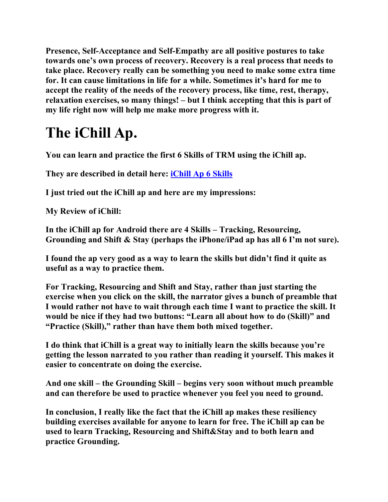**Presence, Self-Acceptance and Self-Empathy are all positive postures to take towards one's own process of recovery. Recovery is a real process that needs to take place. Recovery really can be something you need to make some extra time for. It can cause limitations in life for a while. Sometimes it's hard for me to accept the reality of the needs of the recovery process, like time, rest, therapy, relaxation exercises, so many things! – but I think accepting that this is part of my life right now will help me make more progress with it.** 

# **The iChill Ap.**

**You can learn and practice the first 6 Skills of TRM using the iChill ap.** 

**They are described in detail here: iChill Ap 6 Skills**

**I just tried out the iChill ap and here are my impressions:** 

**My Review of iChill:** 

**In the iChill ap for Android there are 4 Skills – Tracking, Resourcing, Grounding and Shift & Stay (perhaps the iPhone/iPad ap has all 6 I'm not sure).** 

**I found the ap very good as a way to learn the skills but didn't find it quite as useful as a way to practice them.** 

**For Tracking, Resourcing and Shift and Stay, rather than just starting the exercise when you click on the skill, the narrator gives a bunch of preamble that I would rather not have to wait through each time I want to practice the skill. It would be nice if they had two buttons: "Learn all about how to do (Skill)" and "Practice (Skill)," rather than have them both mixed together.** 

**I do think that iChill is a great way to initially learn the skills because you're getting the lesson narrated to you rather than reading it yourself. This makes it easier to concentrate on doing the exercise.** 

**And one skill – the Grounding Skill – begins very soon without much preamble and can therefore be used to practice whenever you feel you need to ground.** 

**In conclusion, I really like the fact that the iChill ap makes these resiliency building exercises available for anyone to learn for free. The iChill ap can be used to learn Tracking, Resourcing and Shift&Stay and to both learn and practice Grounding.**